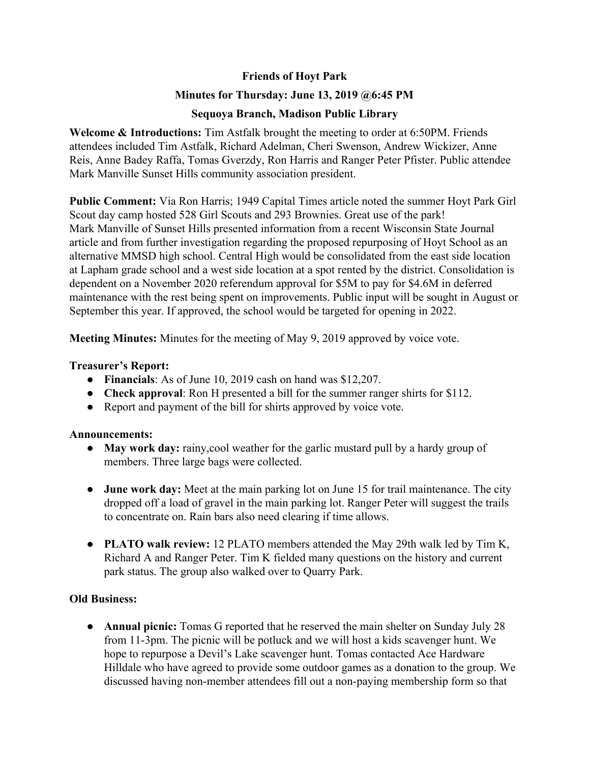# **Friends of Hoyt Park**

# **Minutes for Thursday: June 13, 2019 @6:45 PM**

# **Sequoya Branch, Madison Public Library**

**Welcome & Introductions:** Tim Astfalk brought the meeting to order at 6:50PM. Friends attendees included Tim Astfalk, Richard Adelman, Cheri Swenson, Andrew Wickizer, Anne Reis, Anne Badey Raffa, Tomas Gverzdy, Ron Harris and Ranger Peter Pfister. Public attendee Mark Manville Sunset Hills community association president.

**Public Comment:** Via Ron Harris; 1949 Capital Times article noted the summer Hoyt Park Girl Scout day camp hosted 528 Girl Scouts and 293 Brownies. Great use of the park! Mark Manville of Sunset Hills presented information from a recent Wisconsin State Journal article and from further investigation regarding the proposed repurposing of Hoyt School as an alternative MMSD high school. Central High would be consolidated from the east side location at Lapham grade school and a west side location at a spot rented by the district. Consolidation is dependent on a November 2020 referendum approval for \$5M to pay for \$4.6M in deferred maintenance with the rest being spent on improvements. Public input will be sought in August or September this year. If approved, the school would be targeted for opening in 2022.

**Meeting Minutes:** Minutes for the meeting of May 9, 2019 approved by voice vote.

### **Treasurer's Report:**

- **Financials**: As of June 10, 2019 cash on hand was \$12,207.
- **Check approval**: Ron H presented a bill for the summer ranger shirts for \$112.
- Report and payment of the bill for shirts approved by voice vote.

### **Announcements:**

- **● May work day:** rainy,cool weather for the garlic mustard pull by a hardy group of members. Three large bags were collected.
- **● June work day:** Meet at the main parking lot on June 15 for trail maintenance. The city dropped off a load of gravel in the main parking lot. Ranger Peter will suggest the trails to concentrate on. Rain bars also need clearing if time allows.
- **● PLATO walk review:** 12 PLATO members attended the May 29th walk led by Tim K, Richard A and Ranger Peter. Tim K fielded many questions on the history and current park status. The group also walked over to Quarry Park.

# **Old Business:**

**● Annual picnic:** Tomas G reported that he reserved the main shelter on Sunday July 28 from 11-3pm. The picnic will be potluck and we will host a kids scavenger hunt. We hope to repurpose a Devil's Lake scavenger hunt. Tomas contacted Ace Hardware Hilldale who have agreed to provide some outdoor games as a donation to the group. We discussed having non-member attendees fill out a non-paying membership form so that